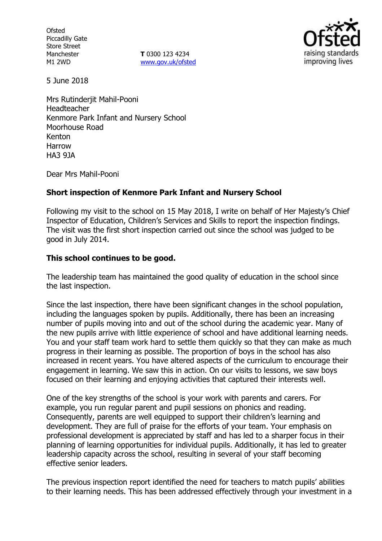**Ofsted** Piccadilly Gate Store Street Manchester M1 2WD

**T** 0300 123 4234 www.gov.uk/ofsted



5 June 2018

Mrs Rutinderjit Mahil-Pooni Headteacher Kenmore Park Infant and Nursery School Moorhouse Road Kenton Harrow HA3 9JA

Dear Mrs Mahil-Pooni

### **Short inspection of Kenmore Park Infant and Nursery School**

Following my visit to the school on 15 May 2018, I write on behalf of Her Majesty's Chief Inspector of Education, Children's Services and Skills to report the inspection findings. The visit was the first short inspection carried out since the school was judged to be good in July 2014.

### **This school continues to be good.**

The leadership team has maintained the good quality of education in the school since the last inspection.

Since the last inspection, there have been significant changes in the school population, including the languages spoken by pupils. Additionally, there has been an increasing number of pupils moving into and out of the school during the academic year. Many of the new pupils arrive with little experience of school and have additional learning needs. You and your staff team work hard to settle them quickly so that they can make as much progress in their learning as possible. The proportion of boys in the school has also increased in recent years. You have altered aspects of the curriculum to encourage their engagement in learning. We saw this in action. On our visits to lessons, we saw boys focused on their learning and enjoying activities that captured their interests well.

One of the key strengths of the school is your work with parents and carers. For example, you run regular parent and pupil sessions on phonics and reading. Consequently, parents are well equipped to support their children's learning and development. They are full of praise for the efforts of your team. Your emphasis on professional development is appreciated by staff and has led to a sharper focus in their planning of learning opportunities for individual pupils. Additionally, it has led to greater leadership capacity across the school, resulting in several of your staff becoming effective senior leaders.

The previous inspection report identified the need for teachers to match pupils' abilities to their learning needs. This has been addressed effectively through your investment in a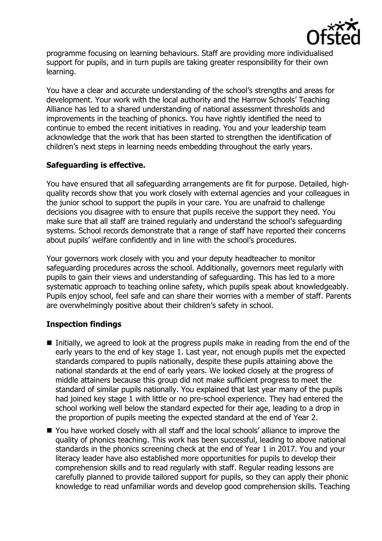

programme focusing on learning behaviours. Staff are providing more individualised support for pupils, and in turn pupils are taking greater responsibility for their own learning.

You have a clear and accurate understanding of the school's strengths and areas for development. Your work with the local authority and the Harrow Schools' Teaching Alliance has led to a shared understanding of national assessment thresholds and improvements in the teaching of phonics. You have rightly identified the need to continue to embed the recent initiatives in reading. You and your leadership team acknowledge that the work that has been started to strengthen the identification of children's next steps in learning needs embedding throughout the early years.

# **Safeguarding is effective.**

You have ensured that all safeguarding arrangements are fit for purpose. Detailed, highquality records show that you work closely with external agencies and your colleagues in the junior school to support the pupils in your care. You are unafraid to challenge decisions you disagree with to ensure that pupils receive the support they need. You make sure that all staff are trained regularly and understand the school's safeguarding systems. School records demonstrate that a range of staff have reported their concerns about pupils' welfare confidently and in line with the school's procedures.

Your governors work closely with you and your deputy headteacher to monitor safeguarding procedures across the school. Additionally, governors meet regularly with pupils to gain their views and understanding of safeguarding. This has led to a more systematic approach to teaching online safety, which pupils speak about knowledgeably. Pupils enjoy school, feel safe and can share their worries with a member of staff. Parents are overwhelmingly positive about their children's safety in school.

# **Inspection findings**

- Initially, we agreed to look at the progress pupils make in reading from the end of the early years to the end of key stage 1. Last year, not enough pupils met the expected standards compared to pupils nationally, despite these pupils attaining above the national standards at the end of early years. We looked closely at the progress of middle attainers because this group did not make sufficient progress to meet the standard of similar pupils nationally. You explained that last year many of the pupils had joined key stage 1 with little or no pre-school experience. They had entered the school working well below the standard expected for their age, leading to a drop in the proportion of pupils meeting the expected standard at the end of Year 2.
- You have worked closely with all staff and the local schools' alliance to improve the quality of phonics teaching. This work has been successful, leading to above national standards in the phonics screening check at the end of Year 1 in 2017. You and your literacy leader have also established more opportunities for pupils to develop their comprehension skills and to read regularly with staff. Regular reading lessons are carefully planned to provide tailored support for pupils, so they can apply their phonic knowledge to read unfamiliar words and develop good comprehension skills. Teaching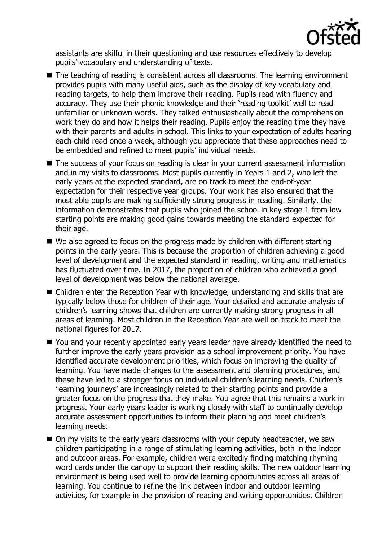

assistants are skilful in their questioning and use resources effectively to develop pupils' vocabulary and understanding of texts.

- The teaching of reading is consistent across all classrooms. The learning environment provides pupils with many useful aids, such as the display of key vocabulary and reading targets, to help them improve their reading. Pupils read with fluency and accuracy. They use their phonic knowledge and their 'reading toolkit' well to read unfamiliar or unknown words. They talked enthusiastically about the comprehension work they do and how it helps their reading. Pupils enjoy the reading time they have with their parents and adults in school. This links to your expectation of adults hearing each child read once a week, although you appreciate that these approaches need to be embedded and refined to meet pupils' individual needs.
- The success of your focus on reading is clear in your current assessment information and in my visits to classrooms. Most pupils currently in Years 1 and 2, who left the early years at the expected standard, are on track to meet the end-of-year expectation for their respective year groups. Your work has also ensured that the most able pupils are making sufficiently strong progress in reading. Similarly, the information demonstrates that pupils who joined the school in key stage 1 from low starting points are making good gains towards meeting the standard expected for their age.
- We also agreed to focus on the progress made by children with different starting points in the early years. This is because the proportion of children achieving a good level of development and the expected standard in reading, writing and mathematics has fluctuated over time. In 2017, the proportion of children who achieved a good level of development was below the national average.
- Children enter the Reception Year with knowledge, understanding and skills that are typically below those for children of their age. Your detailed and accurate analysis of children's learning shows that children are currently making strong progress in all areas of learning. Most children in the Reception Year are well on track to meet the national figures for 2017.
- You and your recently appointed early years leader have already identified the need to further improve the early years provision as a school improvement priority. You have identified accurate development priorities, which focus on improving the quality of learning. You have made changes to the assessment and planning procedures, and these have led to a stronger focus on individual children's learning needs. Children's 'learning journeys' are increasingly related to their starting points and provide a greater focus on the progress that they make. You agree that this remains a work in progress. Your early years leader is working closely with staff to continually develop accurate assessment opportunities to inform their planning and meet children's learning needs.
- On my visits to the early years classrooms with your deputy headteacher, we saw children participating in a range of stimulating learning activities, both in the indoor and outdoor areas. For example, children were excitedly finding matching rhyming word cards under the canopy to support their reading skills. The new outdoor learning environment is being used well to provide learning opportunities across all areas of learning. You continue to refine the link between indoor and outdoor learning activities, for example in the provision of reading and writing opportunities. Children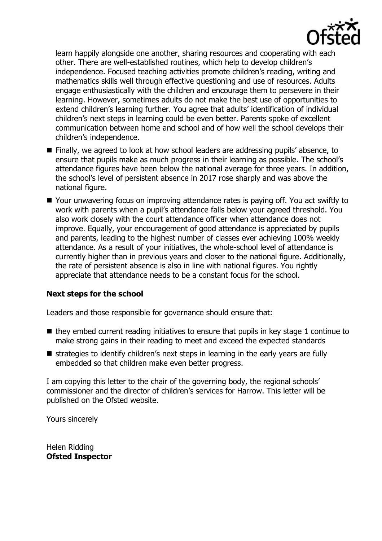

learn happily alongside one another, sharing resources and cooperating with each other. There are well-established routines, which help to develop children's independence. Focused teaching activities promote children's reading, writing and mathematics skills well through effective questioning and use of resources. Adults engage enthusiastically with the children and encourage them to persevere in their learning. However, sometimes adults do not make the best use of opportunities to extend children's learning further. You agree that adults' identification of individual children's next steps in learning could be even better. Parents spoke of excellent communication between home and school and of how well the school develops their children's independence.

- Finally, we agreed to look at how school leaders are addressing pupils' absence, to ensure that pupils make as much progress in their learning as possible. The school's attendance figures have been below the national average for three years. In addition, the school's level of persistent absence in 2017 rose sharply and was above the national figure.
- Your unwavering focus on improving attendance rates is paying off. You act swiftly to work with parents when a pupil's attendance falls below your agreed threshold. You also work closely with the court attendance officer when attendance does not improve. Equally, your encouragement of good attendance is appreciated by pupils and parents, leading to the highest number of classes ever achieving 100% weekly attendance. As a result of your initiatives, the whole-school level of attendance is currently higher than in previous years and closer to the national figure. Additionally, the rate of persistent absence is also in line with national figures. You rightly appreciate that attendance needs to be a constant focus for the school.

### **Next steps for the school**

Leaders and those responsible for governance should ensure that:

- $\blacksquare$  they embed current reading initiatives to ensure that pupils in key stage 1 continue to make strong gains in their reading to meet and exceed the expected standards
- $\blacksquare$  strategies to identify children's next steps in learning in the early years are fully embedded so that children make even better progress.

I am copying this letter to the chair of the governing body, the regional schools' commissioner and the director of children's services for Harrow. This letter will be published on the Ofsted website.

Yours sincerely

Helen Ridding **Ofsted Inspector**